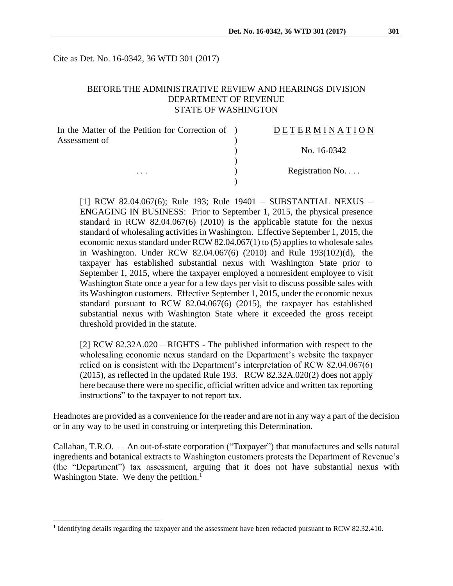Cite as Det. No. 16-0342, 36 WTD 301 (2017)

### BEFORE THE ADMINISTRATIVE REVIEW AND HEARINGS DIVISION DEPARTMENT OF REVENUE STATE OF WASHINGTON

| In the Matter of the Petition for Correction of ) | DETERMINATION   |
|---------------------------------------------------|-----------------|
| Assessment of                                     |                 |
|                                                   | No. 16-0342     |
|                                                   |                 |
| $\cdots$                                          | Registration No |
|                                                   |                 |

[1] RCW 82.04.067(6); Rule 193; Rule 19401 – SUBSTANTIAL NEXUS – ENGAGING IN BUSINESS: Prior to September 1, 2015, the physical presence standard in RCW 82.04.067(6) (2010) is the applicable statute for the nexus standard of wholesaling activities in Washington. Effective September 1, 2015, the economic nexus standard under RCW 82.04.067(1) to (5) applies to wholesale sales in Washington. Under RCW 82.04.067(6) (2010) and Rule 193(102)(d), the taxpayer has established substantial nexus with Washington State prior to September 1, 2015, where the taxpayer employed a nonresident employee to visit Washington State once a year for a few days per visit to discuss possible sales with its Washington customers. Effective September 1, 2015, under the economic nexus standard pursuant to RCW 82.04.067(6) (2015), the taxpayer has established substantial nexus with Washington State where it exceeded the gross receipt threshold provided in the statute.

[2] RCW 82.32A.020 – RIGHTS - The published information with respect to the wholesaling economic nexus standard on the Department's website the taxpayer relied on is consistent with the Department's interpretation of RCW 82.04.067(6) (2015), as reflected in the updated Rule 193. RCW 82.32A.020(2) does not apply here because there were no specific, official written advice and written tax reporting instructions" to the taxpayer to not report tax.

Headnotes are provided as a convenience for the reader and are not in any way a part of the decision or in any way to be used in construing or interpreting this Determination.

Callahan, T.R.O. – An out-of-state corporation ("Taxpayer") that manufactures and sells natural ingredients and botanical extracts to Washington customers protests the Department of Revenue's (the "Department") tax assessment, arguing that it does not have substantial nexus with Washington State. We deny the petition.<sup>1</sup>

 $\overline{a}$ 

<sup>&</sup>lt;sup>1</sup> Identifying details regarding the taxpayer and the assessment have been redacted pursuant to RCW 82.32.410.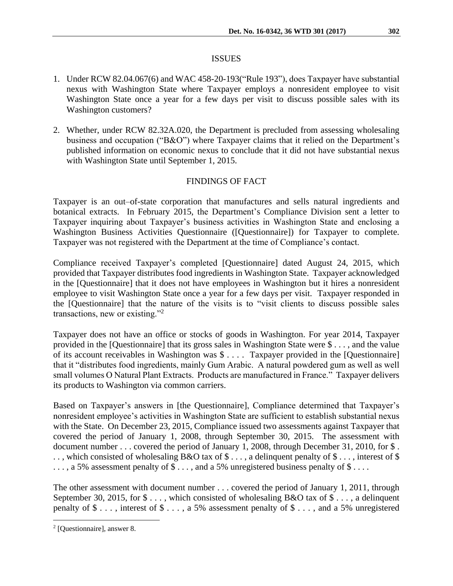### ISSUES

- 1. Under RCW 82.04.067(6) and WAC 458-20-193("Rule 193"), does Taxpayer have substantial nexus with Washington State where Taxpayer employs a nonresident employee to visit Washington State once a year for a few days per visit to discuss possible sales with its Washington customers?
- 2. Whether, under RCW 82.32A.020, the Department is precluded from assessing wholesaling business and occupation ("B&O") where Taxpayer claims that it relied on the Department's published information on economic nexus to conclude that it did not have substantial nexus with Washington State until September 1, 2015.

## FINDINGS OF FACT

Taxpayer is an out–of-state corporation that manufactures and sells natural ingredients and botanical extracts. In February 2015, the Department's Compliance Division sent a letter to Taxpayer inquiring about Taxpayer's business activities in Washington State and enclosing a Washington Business Activities Questionnaire ([Questionnaire]) for Taxpayer to complete. Taxpayer was not registered with the Department at the time of Compliance's contact.

Compliance received Taxpayer's completed [Questionnaire] dated August 24, 2015, which provided that Taxpayer distributes food ingredients in Washington State. Taxpayer acknowledged in the [Questionnaire] that it does not have employees in Washington but it hires a nonresident employee to visit Washington State once a year for a few days per visit. Taxpayer responded in the [Questionnaire] that the nature of the visits is to "visit clients to discuss possible sales transactions, new or existing."<sup>2</sup>

Taxpayer does not have an office or stocks of goods in Washington. For year 2014, Taxpayer provided in the [Questionnaire] that its gross sales in Washington State were \$ . . . , and the value of its account receivables in Washington was \$ . . . . Taxpayer provided in the [Questionnaire] that it "distributes food ingredients, mainly Gum Arabic. A natural powdered gum as well as well small volumes O Natural Plant Extracts. Products are manufactured in France." Taxpayer delivers its products to Washington via common carriers.

Based on Taxpayer's answers in [the Questionnaire], Compliance determined that Taxpayer's nonresident employee's activities in Washington State are sufficient to establish substantial nexus with the State. On December 23, 2015, Compliance issued two assessments against Taxpayer that covered the period of January 1, 2008, through September 30, 2015. The assessment with document number . . . covered the period of January 1, 2008, through December 31, 2010, for \$. .., which consisted of wholesaling B&O tax of  $\$\ldots$ , a delinquent penalty of  $\$\ldots$ , interest of  $\$$ ..., a 5% assessment penalty of \$..., and a 5% unregistered business penalty of \$....

The other assessment with document number . . . covered the period of January 1, 2011, through September 30, 2015, for  $\$\ldots$$ , which consisted of wholesaling B&O tax of  $\$\ldots$$ , a delinquent penalty of  $\$\ldots$ , interest of  $\$\ldots$ , a 5% assessment penalty of  $\$\ldots$ , and a 5% unregistered

 $\overline{a}$ 

<sup>2</sup> [Questionnaire], answer 8.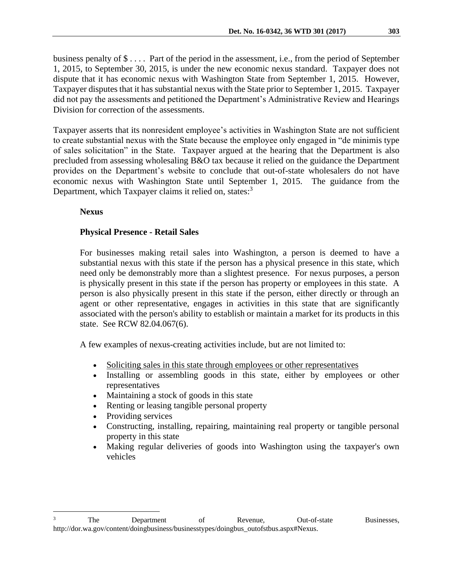business penalty of \$ . . . . Part of the period in the assessment, i.e., from the period of September 1, 2015, to September 30, 2015, is under the new economic nexus standard. Taxpayer does not dispute that it has economic nexus with Washington State from September 1, 2015. However, Taxpayer disputes that it has substantial nexus with the State prior to September 1, 2015. Taxpayer did not pay the assessments and petitioned the Department's Administrative Review and Hearings Division for correction of the assessments.

Taxpayer asserts that its nonresident employee's activities in Washington State are not sufficient to create substantial nexus with the State because the employee only engaged in "de minimis type of sales solicitation" in the State. Taxpayer argued at the hearing that the Department is also precluded from assessing wholesaling B&O tax because it relied on the guidance the Department provides on the Department's website to conclude that out-of-state wholesalers do not have economic nexus with Washington State until September 1, 2015. The guidance from the Department, which Taxpayer claims it relied on, states:<sup>3</sup>

#### **Nexus**

 $\overline{a}$ 

## **Physical Presence - Retail Sales**

For businesses making retail sales into Washington, a person is deemed to have a substantial nexus with this state if the person has a physical presence in this state, which need only be demonstrably more than a slightest presence. For nexus purposes, a person is physically present in this state if the person has property or employees in this state. A person is also physically present in this state if the person, either directly or through an agent or other representative, engages in activities in this state that are significantly associated with the person's ability to establish or maintain a market for its products in this state. See [RCW 82.04.067\(6\).](http://apps.leg.wa.gov/rcw/default.aspx?cite=82.04.067)

A few examples of nexus-creating activities include, but are not limited to:

- Soliciting sales in this state through employees or other representatives
- Installing or assembling goods in this state, either by employees or other representatives
- Maintaining a stock of goods in this state
- Renting or leasing tangible personal property
- Providing services
- Constructing, installing, repairing, maintaining real property or tangible personal property in this state
- Making regular deliveries of goods into Washington using the taxpayer's own vehicles

<sup>&</sup>lt;sup>3</sup> The Department of Revenue, Out-of-state Businesses, http://dor.wa.gov/content/doingbusiness/businesstypes/doingbus\_outofstbus.aspx#Nexus.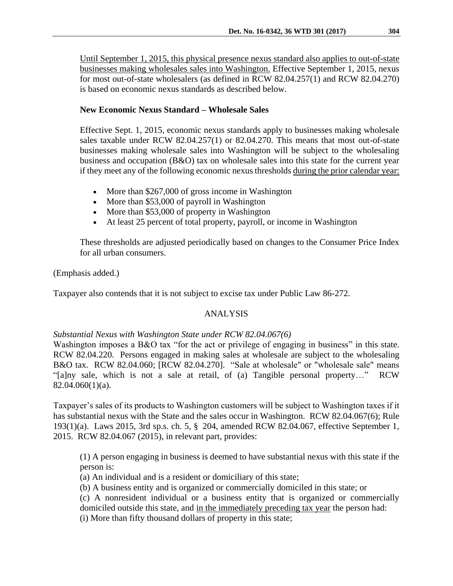Until September 1, 2015, this physical presence nexus standard also applies to out-of-state businesses making wholesales sales into Washington. Effective September 1, 2015, nexus for most out-of-state wholesalers (as defined in [RCW 82.04.257\(](http://apps.leg.wa.gov/rcw/default.aspx?cite=82.04.257)1) and [RCW 82.04.270\)](http://apps.leg.wa.gov/rcw/default.aspx?cite=82.04.270) is based on economic nexus standards as described below.

## **New Economic Nexus Standard – Wholesale Sales**

Effective Sept. 1, 2015, economic nexus standards apply to businesses making wholesale sales taxable under RCW 82.04.257(1) or 82.04.270. This means that most out-of-state businesses making wholesale sales into Washington will be subject to the wholesaling business and occupation (B&O) tax on wholesale sales into this state for the current year if they meet any of the following economic nexus thresholds during the prior calendar year:

- More than \$267,000 of gross income in Washington
- More than \$53,000 of payroll in Washington
- More than \$53,000 of property in Washington
- At least 25 percent of total property, payroll, or income in Washington

These thresholds are adjusted periodically based on changes to the Consumer Price Index for all urban consumers.

## (Emphasis added.)

Taxpayer also contends that it is not subject to excise tax under Public Law 86-272.

# ANALYSIS

### *Substantial Nexus with Washington State under RCW 82.04.067(6)*

Washington imposes a B&O tax "for the act or privilege of engaging in business" in this state. RCW 82.04.220. Persons engaged in making sales at wholesale are subject to the wholesaling B&O tax. RCW 82.04.060; [RCW 82.04.270]. "Sale at wholesale" or "wholesale sale" means "[a]ny sale, which is not a sale at retail, of (a) Tangible personal property…" RCW 82.04.060(1)(a).

Taxpayer's sales of its products to Washington customers will be subject to Washington taxes if it has substantial nexus with the State and the sales occur in Washington. RCW 82.04.067(6); Rule 193(1)(a). Laws 2015, 3rd sp.s. ch. 5, § 204, amended RCW 82.04.067, effective September 1, 2015. RCW 82.04.067 (2015), in relevant part, provides:

(1) A person engaging in business is deemed to have substantial nexus with this state if the person is:

(a) An individual and is a resident or domiciliary of this state;

(b) A business entity and is organized or commercially domiciled in this state; or

(c) A nonresident individual or a business entity that is organized or commercially domiciled outside this state, and in the immediately preceding tax year the person had:

(i) More than fifty thousand dollars of property in this state;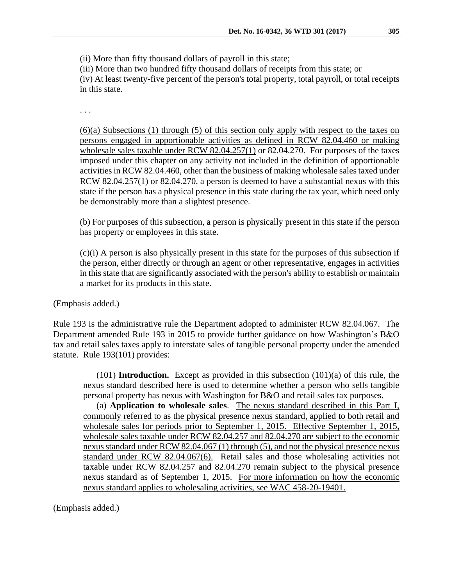(ii) More than fifty thousand dollars of payroll in this state;

(iii) More than two hundred fifty thousand dollars of receipts from this state; or

(iv) At least twenty-five percent of the person's total property, total payroll, or total receipts in this state.

. . .

(6)(a) Subsections (1) through (5) of this section only apply with respect to the taxes on persons engaged in apportionable activities as defined in [RCW 82.04.460](https://a.next.westlaw.com/Link/Document/FullText?findType=L&pubNum=1000259&cite=WAST82.04.460&originatingDoc=N57CF554052D711E5B8E3FB5D6463527A&refType=LQ&originationContext=document&transitionType=DocumentItem&contextData=(sc.UserEnteredCitation)) or making wholesale sales taxable under [RCW 82.04.257\(1\)](https://a.next.westlaw.com/Link/Document/FullText?findType=L&pubNum=1000259&cite=WAST82.04.257&originatingDoc=N57CF554052D711E5B8E3FB5D6463527A&refType=SP&originationContext=document&transitionType=DocumentItem&contextData=(sc.UserEnteredCitation)#co_pp_f1c50000821b0) or [82.04.270.](https://a.next.westlaw.com/Link/Document/FullText?findType=L&pubNum=1000259&cite=WAST82.04.270&originatingDoc=N57CF554052D711E5B8E3FB5D6463527A&refType=LQ&originationContext=document&transitionType=DocumentItem&contextData=(sc.UserEnteredCitation)) For purposes of the taxes imposed under this chapter on any activity not included in the definition of apportionable activities i[n RCW 82.04.460,](https://a.next.westlaw.com/Link/Document/FullText?findType=L&pubNum=1000259&cite=WAST82.04.460&originatingDoc=N57CF554052D711E5B8E3FB5D6463527A&refType=LQ&originationContext=document&transitionType=DocumentItem&contextData=(sc.UserEnteredCitation)) other than the business of making wholesale sales taxed under [RCW 82.04.257\(1\)](https://a.next.westlaw.com/Link/Document/FullText?findType=L&pubNum=1000259&cite=WAST82.04.257&originatingDoc=N57CF554052D711E5B8E3FB5D6463527A&refType=SP&originationContext=document&transitionType=DocumentItem&contextData=(sc.UserEnteredCitation)#co_pp_f1c50000821b0) or [82.04.270,](https://a.next.westlaw.com/Link/Document/FullText?findType=L&pubNum=1000259&cite=WAST82.04.270&originatingDoc=N57CF554052D711E5B8E3FB5D6463527A&refType=LQ&originationContext=document&transitionType=DocumentItem&contextData=(sc.UserEnteredCitation)) a person is deemed to have a substantial nexus with this state if the person has a physical presence in this state during the tax year, which need only be demonstrably more than a slightest presence.

(b) For purposes of this subsection, a person is physically present in this state if the person has property or employees in this state.

(c)(i) A person is also physically present in this state for the purposes of this subsection if the person, either directly or through an agent or other representative, engages in activities in this state that are significantly associated with the person's ability to establish or maintain a market for its products in this state.

(Emphasis added.)

Rule 193 is the administrative rule the Department adopted to administer RCW 82.04.067. The Department amended Rule 193 in 2015 to provide further guidance on how Washington's B&O tax and retail sales taxes apply to interstate sales of tangible personal property under the amended statute. Rule 193(101) provides:

(101) **Introduction.** Except as provided in this subsection (101)(a) of this rule, the nexus standard described here is used to determine whether a person who sells tangible personal property has nexus with Washington for B&O and retail sales tax purposes.

(a) **Application to wholesale sales**. The nexus standard described in this Part I, commonly referred to as the physical presence nexus standard, applied to both retail and wholesale sales for periods prior to September 1, 2015. Effective September 1, 2015, wholesale sales taxable under RCW [82.04.257](http://app.leg.wa.gov/RCW/default.aspx?cite=82.04.257) and [82.04.270](http://app.leg.wa.gov/RCW/default.aspx?cite=82.04.270) are subject to the economic nexus standard under RCW [82.04.067](http://app.leg.wa.gov/RCW/default.aspx?cite=82.04.067) (1) through (5), and not the physical presence nexus standard under RCW [82.04.067\(](http://app.leg.wa.gov/RCW/default.aspx?cite=82.04.067)6). Retail sales and those wholesaling activities not taxable under RCW [82.04.257](http://app.leg.wa.gov/RCW/default.aspx?cite=82.04.257) and [82.04.270](http://app.leg.wa.gov/RCW/default.aspx?cite=82.04.270) remain subject to the physical presence nexus standard as of September 1, 2015. For more information on how the economic nexus standard applies to wholesaling activities, see WAC [458-20-19401.](http://apps.leg.wa.gov/wac/default.aspx?cite=458-20-19401)

(Emphasis added.)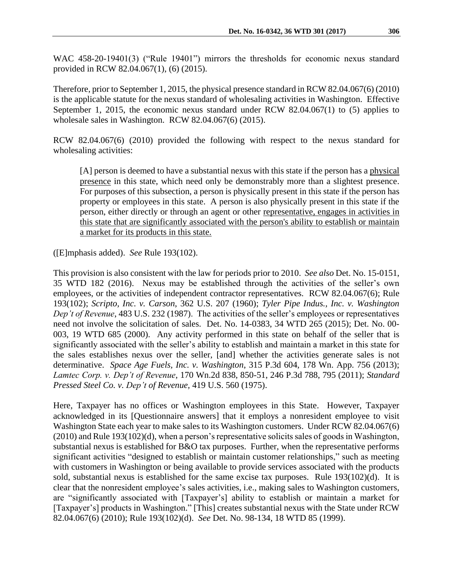WAC 458-20-19401(3) ("Rule 19401") mirrors the thresholds for economic nexus standard provided in RCW 82.04.067(1), (6) (2015).

Therefore, prior to September 1, 2015, the physical presence standard in RCW 82.04.067(6) (2010) is the applicable statute for the nexus standard of wholesaling activities in Washington. Effective September 1, 2015, the economic nexus standard under RCW 82.04.067(1) to (5) applies to wholesale sales in Washington. RCW 82.04.067(6) (2015).

RCW 82.04.067(6) (2010) provided the following with respect to the nexus standard for wholesaling activities:

[A] person is deemed to have a substantial nexus with this state if the person has a physical presence in this state, which need only be demonstrably more than a slightest presence. For purposes of this subsection, a person is physically present in this state if the person has property or employees in this state. A person is also physically present in this state if the person, either directly or through an agent or other representative, engages in activities in this state that are significantly associated with the person's ability to establish or maintain a market for its products in this state.

([E]mphasis added). *See* Rule 193(102).

This provision is also consistent with the law for periods prior to 2010. *See also* Det. No. 15-0151, 35 WTD 182 (2016). Nexus may be established through the activities of the seller's own employees, or the activities of independent contractor representatives. RCW 82.04.067(6); Rule 193(102); *Scripto, Inc. v. Carson*, 362 U.S. 207 (1960); *Tyler Pipe Indus., Inc. v. Washington Dep't of Revenue*, 483 U.S. 232 (1987). The activities of the seller's employees or representatives need not involve the solicitation of sales. Det. No. 14-0383, 34 WTD 265 (2015); Det. No. 00- 003, 19 WTD 685 (2000). Any activity performed in this state on behalf of the seller that is significantly associated with the seller's ability to establish and maintain a market in this state for the sales establishes nexus over the seller, [and] whether the activities generate sales is not determinative. *Space Age Fuels, Inc. v. Washington*, 315 P.3d 604, 178 Wn. App. 756 (2013); *Lamtec Corp. v. Dep't of Revenue*, 170 Wn.2d 838, 850-51, 246 P.3d 788, 795 (2011); *Standard Pressed Steel Co. v. Dep't of Revenue,* 419 U.S. 560 (1975).

Here, Taxpayer has no offices or Washington employees in this State. However, Taxpayer acknowledged in its [Questionnaire answers] that it employs a nonresident employee to visit Washington State each year to make sales to its Washington customers. Under RCW 82.04.067(6) (2010) and Rule 193(102)(d), when a person's representative solicits sales of goods in Washington, substantial nexus is established for B&O tax purposes. Further, when the representative performs significant activities "designed to establish or maintain customer relationships," such as meeting with customers in Washington or being available to provide services associated with the products sold, substantial nexus is established for the same excise tax purposes. Rule 193(102)(d). It is clear that the nonresident employee's sales activities, i.e., making sales to Washington customers, are "significantly associated with [Taxpayer's] ability to establish or maintain a market for [Taxpayer's] products in Washington." [This] creates substantial nexus with the State under RCW 82.04.067(6) (2010); Rule 193(102)(d). *See* Det. No. 98-134, 18 WTD 85 (1999).